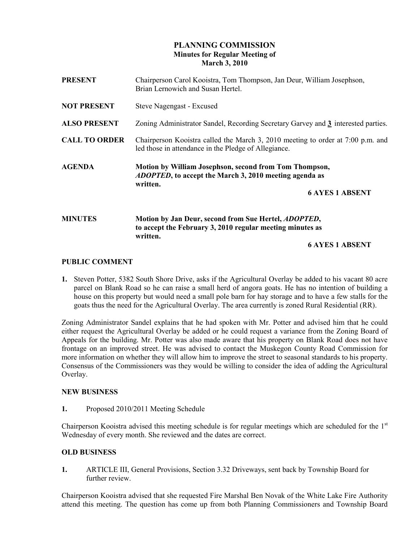# PLANNING COMMISSION Minutes for Regular Meeting of March 3, 2010

| <b>PRESENT</b>       | Chairperson Carol Kooistra, Tom Thompson, Jan Deur, William Josephson,<br>Brian Lernowich and Susan Hertel.                                                    |
|----------------------|----------------------------------------------------------------------------------------------------------------------------------------------------------------|
| <b>NOT PRESENT</b>   | Steve Nagengast - Excused                                                                                                                                      |
| <b>ALSO PRESENT</b>  | Zoning Administrator Sandel, Recording Secretary Garvey and 3 interested parties.                                                                              |
| <b>CALL TO ORDER</b> | Chairperson Kooistra called the March 3, 2010 meeting to order at 7:00 p.m. and<br>led those in attendance in the Pledge of Allegiance.                        |
| <b>AGENDA</b>        | Motion by William Josephson, second from Tom Thompson,<br><i>ADOPTED</i> , to accept the March 3, 2010 meeting agenda as<br>written.<br><b>6 AYES 1 ABSENT</b> |
| <b>MINUTES</b>       | Motion by Jan Deur, second from Sue Hertel, ADOPTED,<br>to accept the February 3, 2010 regular meeting minutes as<br>written.                                  |

### 6 AYES 1 ABSENT

## PUBLIC COMMENT

1. Steven Potter, 5382 South Shore Drive, asks if the Agricultural Overlay be added to his vacant 80 acre parcel on Blank Road so he can raise a small herd of angora goats. He has no intention of building a house on this property but would need a small pole barn for hay storage and to have a few stalls for the goats thus the need for the Agricultural Overlay. The area currently is zoned Rural Residential (RR).

Zoning Administrator Sandel explains that he had spoken with Mr. Potter and advised him that he could either request the Agricultural Overlay be added or he could request a variance from the Zoning Board of Appeals for the building. Mr. Potter was also made aware that his property on Blank Road does not have frontage on an improved street. He was advised to contact the Muskegon County Road Commission for more information on whether they will allow him to improve the street to seasonal standards to his property. Consensus of the Commissioners was they would be willing to consider the idea of adding the Agricultural Overlay.

### NEW BUSINESS

1. Proposed 2010/2011 Meeting Schedule

Chairperson Kooistra advised this meeting schedule is for regular meetings which are scheduled for the  $1<sup>st</sup>$ Wednesday of every month. She reviewed and the dates are correct.

### OLD BUSINESS

1. ARTICLE III, General Provisions, Section 3.32 Driveways, sent back by Township Board for further review.

Chairperson Kooistra advised that she requested Fire Marshal Ben Novak of the White Lake Fire Authority attend this meeting. The question has come up from both Planning Commissioners and Township Board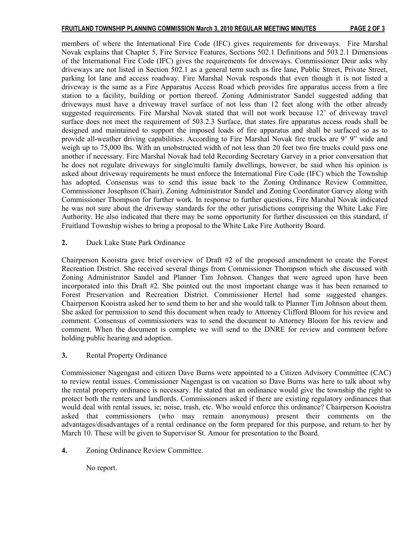members of where the International Fire Code (IFC) gives requirements for driveways. Fire Marshal Novak explains that Chapter 5, Fire Service Features, Sections 502.1 Definitions and 503.2.1 Dimensions of the International Fire Code (IFC) gives the requirements for driveways. Commissioner Deur asks why driveways are not listed in Section 502.1 as a general term such as fire lane, Public Street, Private Street, parking lot lane and access roadway. Fire Marshal Novak responds that even though it is not listed a driveway is the same as a Fire Apparatus Access Road which provides fire apparatus access from a fire station to a facility, building or portion thereof. Zoning Administrator Sandel suggested adding that driveways must have a driveway travel surface of not less than 12 feet along with the other already suggested requirements. Fire Marshal Novak stated that will not work because 12' of driveway travel surface does not meet the requirement of 503.2.3 Surface, that states fire apparatus access roads shall be designed and maintained to support the imposed loads of fire apparatus and shall be surfaced so as to provide all-weather driving capabilities. According to Fire Marshal Novak fire trucks are 9' 9" wide and weigh up to 75,000 lbs. With an unobstructed width of not less than 20 feet two fire trucks could pass one another if necessary. Fire Marshal Novak had told Recording Secretary Garvey in a prior conversation that he does not regulate driveways for single/multi family dwellings, however, he said when his opinion is asked about driveway requirements he must enforce the International Fire Code (IFC) which the Township has adopted. Consensus was to send this issue back to the Zoning Ordinance Review Committee, Commissioner Josephson (Chair), Zoning Administrator Sandel and Zoning Coordinator Garvey along with Commissioner Thompson for further work. In response to further questions, Fire Marshal Novak indicated he was not sure about the driveway standards for the other jurisdictions comprising the White Lake Fire Authority. He also indicated that there may be some opportunity for further discussion on this standard, if Fruitland Township wishes to bring a proposal to the White Lake Fire Authority Board.

2. Duck Lake State Park Ordinance

Chairperson Kooistra gave brief overview of Draft #2 of the proposed amendment to create the Forest Recreation District. She received several things from Commissioner Thompson which she discussed with Zoning Administrator Sandel and Planner Tim Johnson. Changes that were agreed upon have been incorporated into this Draft #2. She pointed out the most important change was it has been renamed to Forest Preservation and Recreation District. Commissioner Hertel had some suggested changes. Chairperson Kooistra asked her to send them to her and she would talk to Planner Tim Johnson about them. She asked for permission to send this document when ready to Attorney Clifford Bloom for his review and comment. Consensus of commissioners was to send the document to Attorney Bloom for his review and comment. When the document is complete we will send to the DNRE for review and comment before holding public hearing and adoption.

3. Rental Property Ordinance

Commissioner Nagengast and citizen Dave Burns were appointed to a Citizen Advisory Committee (CAC) to review rental issues. Commissioner Nagengast is on vacation so Dave Burns was here to talk about why the rental property ordinance is necessary. He stated that an ordinance would give the township the right to protect both the renters and landlords. Commissioners asked if there are existing regulatory ordinances that would deal with rental issues, ie; noise, trash, etc. Who would enforce this ordinance? Chairperson Kooistra asked that commissioners (who may remain anonymous) present their comments on the advantages/disadvantages of a rental ordinance on the form prepared for this purpose, and return to her by March 10. These will be given to Supervisor St. Amour for presentation to the Board.

4. Zoning Ordinance Review Committee.

No report.